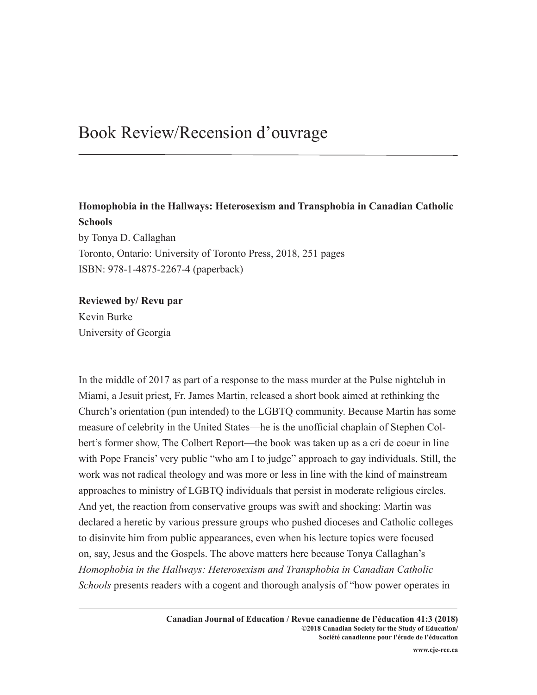## Book Review/Recension d'ouvrage

## **Homophobia in the Hallways: Heterosexism and Transphobia in Canadian Catholic Schools**

by Tonya D. Callaghan Toronto, Ontario: University of Toronto Press, 2018, 251 pages ISBN: 978-1-4875-2267-4 (paperback)

## **Reviewed by/ Revu par**

Kevin Burke University of Georgia

In the middle of 2017 as part of a response to the mass murder at the Pulse nightclub in Miami, a Jesuit priest, Fr. James Martin, released a short book aimed at rethinking the Church's orientation (pun intended) to the LGBTQ community. Because Martin has some measure of celebrity in the United States—he is the unofficial chaplain of Stephen Colbert's former show, The Colbert Report—the book was taken up as a cri de coeur in line with Pope Francis' very public "who am I to judge" approach to gay individuals. Still, the work was not radical theology and was more or less in line with the kind of mainstream approaches to ministry of LGBTQ individuals that persist in moderate religious circles. And yet, the reaction from conservative groups was swift and shocking: Martin was declared a heretic by various pressure groups who pushed dioceses and Catholic colleges to disinvite him from public appearances, even when his lecture topics were focused on, say, Jesus and the Gospels. The above matters here because Tonya Callaghan's *Homophobia in the Hallways: Heterosexism and Transphobia in Canadian Catholic Schools* presents readers with a cogent and thorough analysis of "how power operates in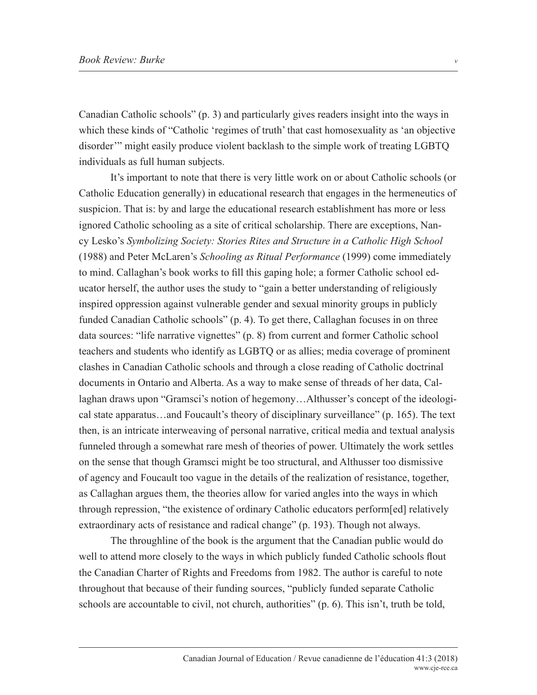Canadian Catholic schools" (p. 3) and particularly gives readers insight into the ways in which these kinds of "Catholic 'regimes of truth' that cast homosexuality as 'an objective disorder'" might easily produce violent backlash to the simple work of treating LGBTQ individuals as full human subjects.

It's important to note that there is very little work on or about Catholic schools (or Catholic Education generally) in educational research that engages in the hermeneutics of suspicion. That is: by and large the educational research establishment has more or less ignored Catholic schooling as a site of critical scholarship. There are exceptions, Nancy Lesko's *Symbolizing Society: Stories Rites and Structure in a Catholic High School* (1988) and Peter McLaren's *Schooling as Ritual Performance* (1999) come immediately to mind. Callaghan's book works to fill this gaping hole; a former Catholic school educator herself, the author uses the study to "gain a better understanding of religiously inspired oppression against vulnerable gender and sexual minority groups in publicly funded Canadian Catholic schools" (p. 4). To get there, Callaghan focuses in on three data sources: "life narrative vignettes" (p. 8) from current and former Catholic school teachers and students who identify as LGBTQ or as allies; media coverage of prominent clashes in Canadian Catholic schools and through a close reading of Catholic doctrinal documents in Ontario and Alberta. As a way to make sense of threads of her data, Callaghan draws upon "Gramsci's notion of hegemony…Althusser's concept of the ideological state apparatus…and Foucault's theory of disciplinary surveillance" (p. 165). The text then, is an intricate interweaving of personal narrative, critical media and textual analysis funneled through a somewhat rare mesh of theories of power. Ultimately the work settles on the sense that though Gramsci might be too structural, and Althusser too dismissive of agency and Foucault too vague in the details of the realization of resistance, together, as Callaghan argues them, the theories allow for varied angles into the ways in which through repression, "the existence of ordinary Catholic educators perform[ed] relatively extraordinary acts of resistance and radical change" (p. 193). Though not always.

The throughline of the book is the argument that the Canadian public would do well to attend more closely to the ways in which publicly funded Catholic schools flout the Canadian Charter of Rights and Freedoms from 1982. The author is careful to note throughout that because of their funding sources, "publicly funded separate Catholic schools are accountable to civil, not church, authorities" (p. 6). This isn't, truth be told,